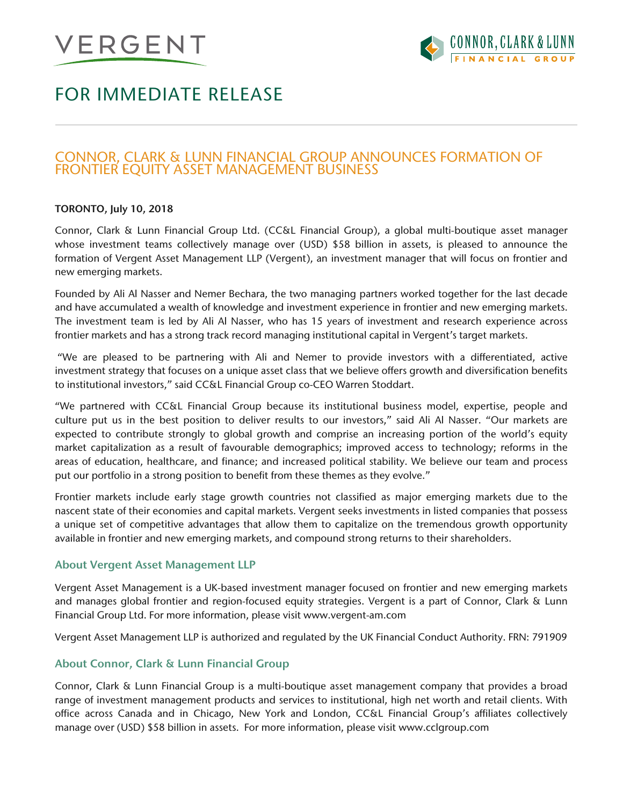# VERGENT



# FOR IMMEDIATE RELEASE

## CONNOR, CLARK & LUNN FINANCIAL GROUP ANNOUNCES FORMATION OF FRONTIER EQUITY ASSET MANAGEMENT BUSINESS

#### TORONTO, July 10, 2018

Connor, Clark & Lunn Financial Group Ltd. (CC&L Financial Group), a global multi-boutique asset manager whose investment teams collectively manage over (USD) \$58 billion in assets, is pleased to announce the formation of Vergent Asset Management LLP (Vergent), an investment manager that will focus on frontier and new emerging markets.

Founded by Ali Al Nasser and Nemer Bechara, the two managing partners worked together for the last decade and have accumulated a wealth of knowledge and investment experience in frontier and new emerging markets. The investment team is led by Ali Al Nasser, who has 15 years of investment and research experience across frontier markets and has a strong track record managing institutional capital in Vergent's target markets.

 "We are pleased to be partnering with Ali and Nemer to provide investors with a differentiated, active investment strategy that focuses on a unique asset class that we believe offers growth and diversification benefits to institutional investors," said CC&L Financial Group co-CEO Warren Stoddart.

"We partnered with CC&L Financial Group because its institutional business model, expertise, people and culture put us in the best position to deliver results to our investors," said Ali Al Nasser. "Our markets are expected to contribute strongly to global growth and comprise an increasing portion of the world's equity market capitalization as a result of favourable demographics; improved access to technology; reforms in the areas of education, healthcare, and finance; and increased political stability. We believe our team and process put our portfolio in a strong position to benefit from these themes as they evolve."

Frontier markets include early stage growth countries not classified as major emerging markets due to the nascent state of their economies and capital markets. Vergent seeks investments in listed companies that possess a unique set of competitive advantages that allow them to capitalize on the tremendous growth opportunity available in frontier and new emerging markets, and compound strong returns to their shareholders.

#### About Vergent Asset Management LLP

Vergent Asset Management is a UK-based investment manager focused on frontier and new emerging markets and manages global frontier and region-focused equity strategies. Vergent is a part of Connor, Clark & Lunn Financial Group Ltd. For more information, please visit www.vergent-am.com

Vergent Asset Management LLP is authorized and regulated by the UK Financial Conduct Authority. FRN: 791909

#### About Connor, Clark & Lunn Financial Group

Connor, Clark & Lunn Financial Group is a multi-boutique asset management company that provides a broad range of investment management products and services to institutional, high net worth and retail clients. With office across Canada and in Chicago, New York and London, CC&L Financial Group's affiliates collectively manage over (USD) \$58 billion in assets. For more information, please visit www.cclgroup.com